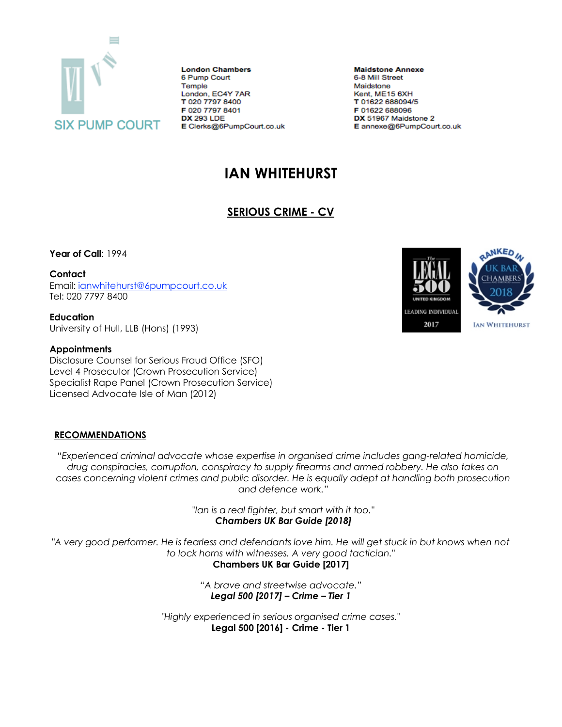

**London Chambers** 6 Pump Court Temple London, EC4Y 7AR T 020 7797 8400 F 020 7797 8401 **DX 293 LDE** E Clerks@6PumpCourt.co.uk

**Maidstone Annexe** 6-8 Mill Street Maidstone Kent, ME15 6XH T 01622 688094/5 F 01622 688096 DX 51967 Maidstone 2 E annexe@6PumpCourt.co.uk

# **IAN WHITEHURST**

# **SERIOUS CRIME - CV**

**Year of Call**: 1994

**Contact**

Email: [ianwhitehurst@6pumpcourt.co.uk](mailto:ianwhitehurst@6pumpcourt.co.uk) Tel: 020 7797 8400

**Education** University of Hull, LLB (Hons) (1993)

#### **Appointments**

Disclosure Counsel for Serious Fraud Office (SFO) Level 4 Prosecutor (Crown Prosecution Service) Specialist Rape Panel (Crown Prosecution Service) Licensed Advocate Isle of Man (2012)

## **RECOMMENDATIONS**

*"Experienced criminal advocate whose expertise in organised crime includes gang-related homicide, drug conspiracies, corruption, conspiracy to supply firearms and armed robbery. He also takes on cases concerning violent crimes and public disorder. He is equally adept at handling both prosecution and defence work."*

> *"Ian is a real fighter, but smart with it too." Chambers UK Bar Guide [2018]*

*"A very good performer. He is fearless and defendants love him. He will get stuck in but knows when not to lock horns with witnesses. A very good tactician."*

**Chambers UK Bar Guide [2017]**

*"A brave and streetwise advocate." Legal 500 [2017] – Crime – Tier 1*

*"Highly experienced in serious organised crime cases."* **Legal 500 [2016] - Crime - Tier 1**